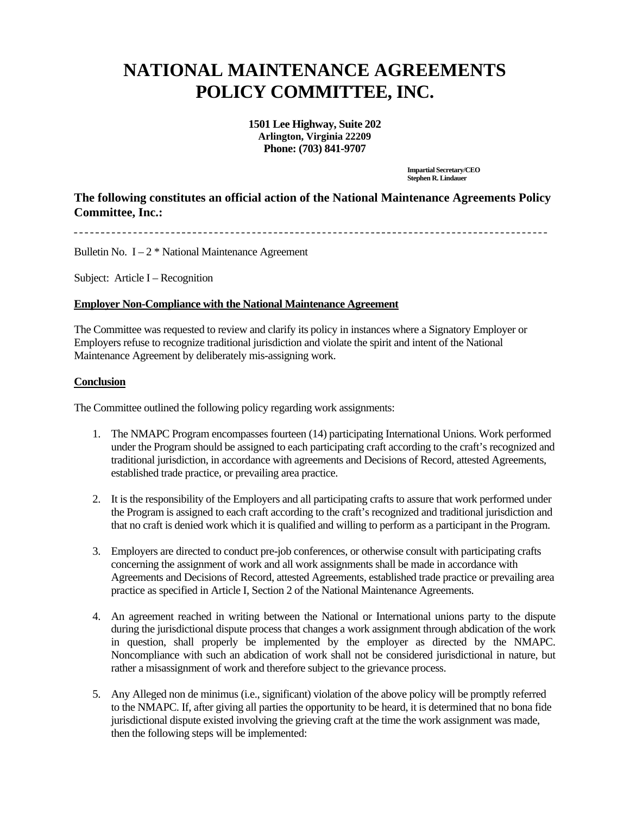## **NATIONAL MAINTENANCE AGREEMENTS POLICY COMMITTEE, INC.**

**1501 Lee Highway, Suite 202 Arlington, Virginia 22209 Phone: (703) 841-9707**

> **Impartial Secretary/CEO Stephen R. Lindauer**

## **The following constitutes an official action of the National Maintenance Agreements Policy Committee, Inc.:**

Bulletin No.  $I - 2$  \* National Maintenance Agreement

Subject: Article I – Recognition

## **Employer Non-Compliance with the National Maintenance Agreement**

The Committee was requested to review and clarify its policy in instances where a Signatory Employer or Employers refuse to recognize traditional jurisdiction and violate the spirit and intent of the National Maintenance Agreement by deliberately mis-assigning work.

## **Conclusion**

The Committee outlined the following policy regarding work assignments:

- 1. The NMAPC Program encompasses fourteen (14) participating International Unions. Work performed under the Program should be assigned to each participating craft according to the craft's recognized and traditional jurisdiction, in accordance with agreements and Decisions of Record, attested Agreements, established trade practice, or prevailing area practice.
- 2. It is the responsibility of the Employers and all participating crafts to assure that work performed under the Program is assigned to each craft according to the craft's recognized and traditional jurisdiction and that no craft is denied work which it is qualified and willing to perform as a participant in the Program.
- 3. Employers are directed to conduct pre-job conferences, or otherwise consult with participating crafts concerning the assignment of work and all work assignments shall be made in accordance with Agreements and Decisions of Record, attested Agreements, established trade practice or prevailing area practice as specified in Article I, Section 2 of the National Maintenance Agreements.
- 4. An agreement reached in writing between the National or International unions party to the dispute during the jurisdictional dispute process that changes a work assignment through abdication of the work in question, shall properly be implemented by the employer as directed by the NMAPC. Noncompliance with such an abdication of work shall not be considered jurisdictional in nature, but rather a misassignment of work and therefore subject to the grievance process.
- 5. Any Alleged non de minimus (i.e., significant) violation of the above policy will be promptly referred to the NMAPC. If, after giving all parties the opportunity to be heard, it is determined that no bona fide jurisdictional dispute existed involving the grieving craft at the time the work assignment was made, then the following steps will be implemented: